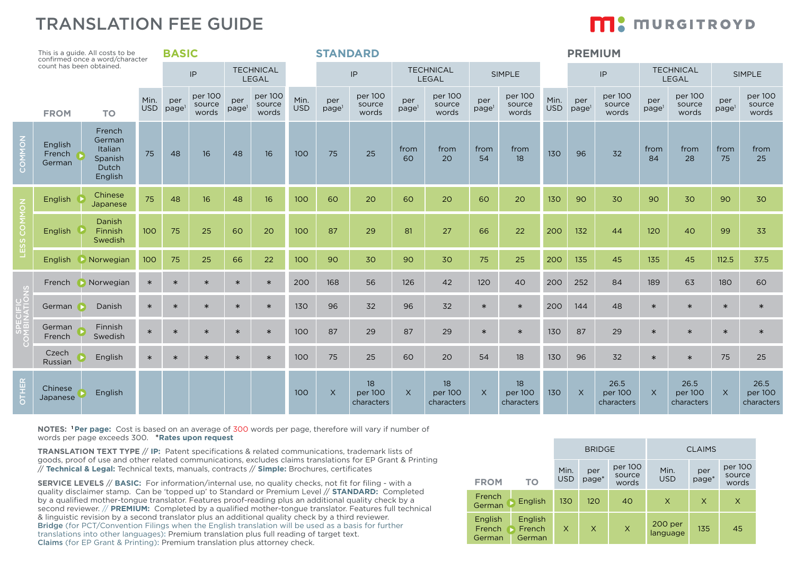## TRANSLATION FEE GUIDE

# **M:** MURGITROYD

| This is a guide. All costs to be<br>confirmed once a word/character |                             | <b>BASIC</b><br><b>STANDARD</b>                            |                    |                          |                            |                          |                            |                    | <b>PREMIUM</b>           |                             |                          |                             |                          |                             |                    |                          |                               |                           |                               |                          |                               |
|---------------------------------------------------------------------|-----------------------------|------------------------------------------------------------|--------------------|--------------------------|----------------------------|--------------------------|----------------------------|--------------------|--------------------------|-----------------------------|--------------------------|-----------------------------|--------------------------|-----------------------------|--------------------|--------------------------|-------------------------------|---------------------------|-------------------------------|--------------------------|-------------------------------|
| count has been obtained.                                            |                             |                                                            | $\sf IP$           |                          | <b>TECHNICAL</b><br>LEGAL  |                          |                            | IP                 |                          | <b>TECHNICAL</b><br>LEGAL   |                          | <b>SIMPLE</b>               |                          |                             |                    | IP                       |                               | <b>TECHNICAL</b><br>LEGAL |                               | SIMPLE                   |                               |
|                                                                     | <b>FROM</b>                 | <b>TO</b>                                                  | Min.<br><b>USD</b> | per<br>page <sup>1</sup> | per 100<br>source<br>words | per<br>page <sup>1</sup> | per 100<br>source<br>words | Min.<br><b>USD</b> | per<br>page <sup>1</sup> | per 100<br>source<br>words  | per<br>page <sup>1</sup> | per 100<br>source<br>words  | per<br>page <sup>1</sup> | per 100<br>source<br>words  | Min.<br><b>USD</b> | per<br>page <sup>1</sup> | per 100<br>source<br>words    | per<br>page <sup>1</sup>  | per 100<br>source<br>words    | per<br>page <sup>1</sup> | per 100<br>source<br>words    |
| $\overline{6}$<br>COMM                                              | English<br>French<br>German | French<br>German<br>Italian<br>Spanish<br>Dutch<br>English | 75                 | 48                       | 16                         | 48                       | 16                         | 100                | 75                       | 25                          | from<br>60               | from<br>20                  | from<br>54               | from<br>18                  | 130                | 96                       | 32                            | from<br>84                | from<br>28                    | from<br>75               | from<br>25                    |
| COMMON<br>ESS                                                       | English                     | Chinese<br>Japanese                                        | 75                 | 48                       | 16                         | 48                       | 16                         | 100                | 60                       | 20                          | 60                       | 20                          | 60                       | 20                          | 130                | 90                       | 30                            | 90                        | 30                            | 90                       | 30                            |
|                                                                     | <b>English</b>              | <b>Danish</b><br>Finnish<br>Swedish                        | 100                | 75                       | 25                         | 60                       | 20                         | 100                | 87                       | 29                          | 81                       | 27                          | 66                       | 22                          | 200                | 132                      | 44                            | 120                       | 40                            | 99                       | 33                            |
|                                                                     | English                     | Norwegian                                                  | 100                | 75                       | 25                         | 66                       | 22                         | 100                | 90                       | 30                          | 90                       | 30                          | 75                       | 25                          | 200                | 135                      | 45                            | 135                       | 45                            | 112.5                    | 37.5                          |
|                                                                     | French                      | Norwegian                                                  | $\ast$             | $\ast$                   | $\ast$                     | $\ast$                   | $\ast$                     | 200                | 168                      | 56                          | 126                      | 42                          | 120                      | 40                          | 200                | 252                      | 84                            | 189                       | 63                            | 180                      | 60                            |
|                                                                     | German                      | Danish                                                     | $\ast$             | $\ast$                   | $\ast$                     | $\ast$                   | $\ast$                     | 130                | 96                       | 32                          | 96                       | 32                          | $\ast$                   | $\ast$                      | 200                | 144                      | 48                            | $\ast$                    | $\ast$                        | $\ast$                   | $\ast$                        |
|                                                                     | German<br>French            | Finnish<br>Swedish                                         | $\ast$             | $\ast$                   | $\ast$                     | $\ast$                   | $\ast$                     | 100                | 87                       | 29                          | 87                       | 29                          | $\ast$                   | $\ast$                      | 130                | 87                       | 29                            | $\ast$                    | $\ast$                        | $\ast$                   | $\ast$                        |
|                                                                     | Czech<br>Russian            | English                                                    | $\ast$             | $\ast$                   | $\ast$                     | $\ast$                   | $\ast$                     | 100                | 75                       | 25                          | 60                       | 20                          | 54                       | 18                          | 130                | 96                       | 32                            | $\ast$                    | $\ast$                        | 75                       | 25                            |
| OTHER                                                               | Chinese<br>Japanese         | English                                                    |                    |                          |                            |                          |                            | 100                | $\times$                 | 18<br>per 100<br>characters | $\times$                 | 18<br>per 100<br>characters | $\times$                 | 18<br>per 100<br>characters | 130                | $\times$                 | 26.5<br>per 100<br>characters | $\times$                  | 26.5<br>per 100<br>characters | $\times$                 | 26.5<br>per 100<br>characters |

**NOTES: 1 Per page:** Cost is based on an average of 300 words per page, therefore will vary if number of words per page exceeds 300. \***Rates upon request**

**TRANSLATION TEXT TYPE** // **IP:** Patent specifications & related communications, trademark lists of goods, proof of use and other related communications, excludes claims translations for EP Grant & Printing // **Technical & Legal:** Technical texts, manuals, contracts // **Simple:** Brochures, certificates

**SERVICE LEVELS** // **BASIC:** For information/internal use, no quality checks, not fit for filing - with a quality disclaimer stamp. Can be 'topped up' to Standard or Premium Level // **STANDARD:** Completed by a qualified mother-tongue translator. Features proof-reading plus an additional quality check by a second reviewer. // **PREMIUM:** Completed by a qualified mother-tongue translator. Features full technical & linguistic revision by a second translator plus an additional quality check by a third reviewer. Bridge (for PCT/Convention Filings when the English translation will be used as a basis for further translations into other languages): Premium translation plus full reading of target text. Claims (for EP Grant & Printing): Premium translation plus attorney check.

|                             |                             |                    | <b>BRIDGE</b> |                            | <b>CLAIMS</b>       |              |                            |  |  |
|-----------------------------|-----------------------------|--------------------|---------------|----------------------------|---------------------|--------------|----------------------------|--|--|
| <b>FROM</b>                 | TO                          | Min.<br><b>USD</b> | per<br>page*  | per 100<br>source<br>words | Min.<br><b>USD</b>  | per<br>page* | per 100<br>source<br>words |  |  |
| French<br>German            | English                     | 130                | 120           | 40                         | $\times$            | X            | X                          |  |  |
| English<br>French<br>German | English<br>French<br>German | X                  | X             | X                          | 200 per<br>language | 135          | 45                         |  |  |